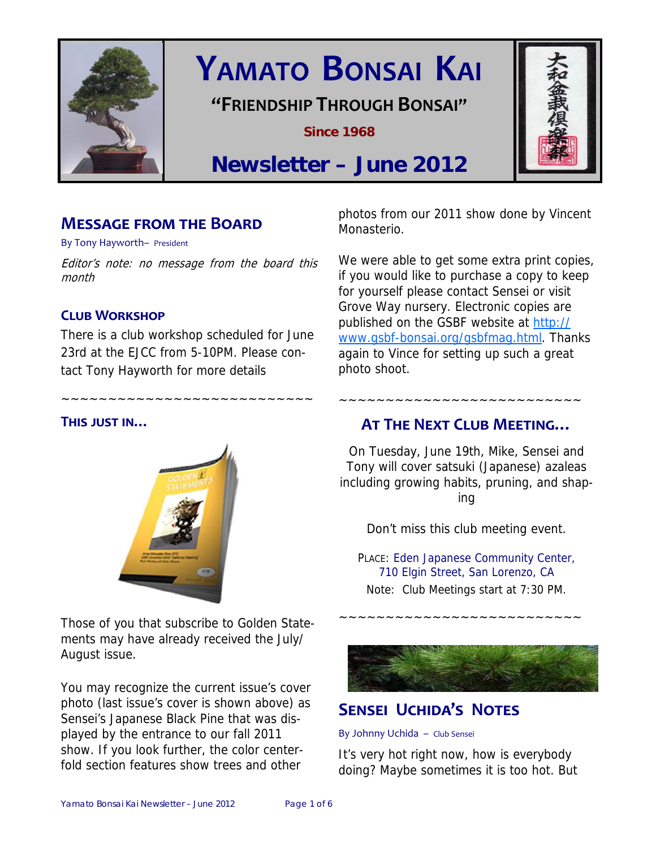

# **YAMATO BONSAI KAI**

## **"FRIENDSHIP THROUGH BONSAI"**

**Since 1968** 



## **Newsletter – June 2012**

## **MESSAGE FROM THE BOARD**

By Tony Hayworth– President

Editor's note: no message from the board this month

## **CLUB WORKSHOP**

There is a club workshop scheduled for June 23rd at the EJCC from 5-10PM. Please contact Tony Hayworth for more details

~~~~~~~~~~~~~~~~~~~~~~~~~~~

## **THIS JUST IN…**



Those of you that subscribe to Golden Statements may have already received the July/ August issue.

You may recognize the current issue's cover photo (last issue's cover is shown above) as Sensei's Japanese Black Pine that was displayed by the entrance to our fall 2011 show. If you look further, the color centerfold section features show trees and other

photos from our 2011 show done by Vincent Monasterio.

We were able to get some extra print copies, if you would like to purchase a copy to keep for yourself please contact Sensei or visit Grove Way nursery. Electronic copies are published on the GSBF website at http:// www.gsbf-bonsai.org/gsbfmag.html. Thanks again to Vince for setting up such a great photo shoot.

## **AT THE NEXT CLUB MEETING…**

~~~~~~~~~~~~~~~~~~~~~~~~~~

On Tuesday, June 19th, Mike, Sensei and Tony will cover satsuki (Japanese) azaleas including growing habits, pruning, and shap-

ing

Don't miss this club meeting event.

PLACE: Eden Japanese Community Center, 710 Elgin Street, San Lorenzo, CA Note: Club Meetings start at 7:30 PM.

~~~~~~~~~~~~~~~~~~~~~~~~~~



## **SENSEI UCHIDA'S NOTES**

By Johnny Uchida – Club Sensei

It's very hot right now, how is everybody doing? Maybe sometimes it is too hot. But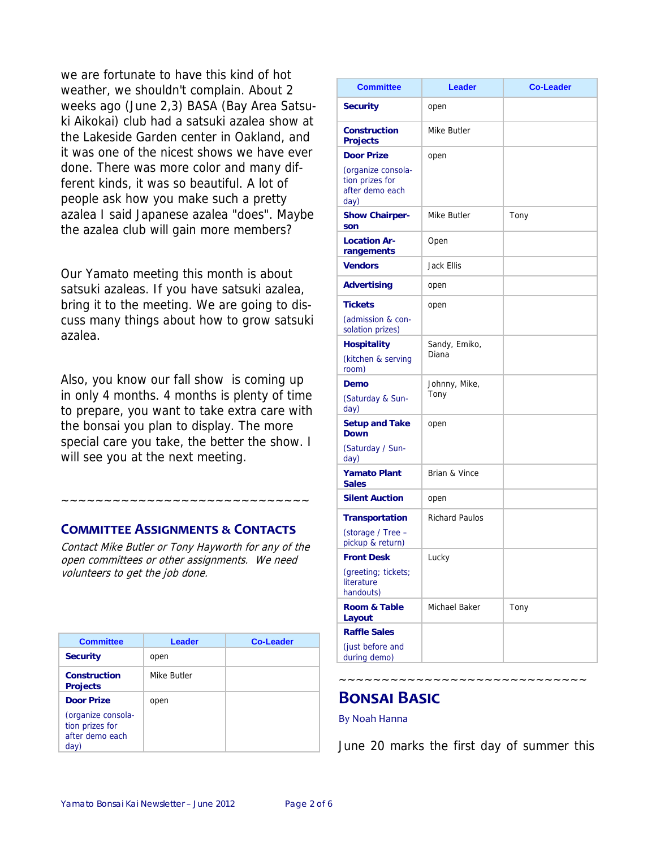we are fortunate to have this kind of hot weather, we shouldn't complain. About 2 weeks ago (June 2,3) BASA (Bay Area Satsuki Aikokai) club had a satsuki azalea show at the Lakeside Garden center in Oakland, and it was one of the nicest shows we have ever done. There was more color and many different kinds, it was so beautiful. A lot of people ask how you make such a pretty azalea I said Japanese azalea "does". Maybe the azalea club will gain more members?

Our Yamato meeting this month is about satsuki azaleas. If you have satsuki azalea, bring it to the meeting. We are going to discuss many things about how to grow satsuki azalea.

Also, you know our fall show is coming up in only 4 months. 4 months is plenty of time to prepare, you want to take extra care with the bonsai you plan to display. The more special care you take, the better the show. I will see you at the next meeting.

## **COMMITTEE ASSIGNMENTS & CONTACTS**

Contact Mike Butler or Tony Hayworth for any of the open committees or other assignments. We need volunteers to get the job done.

~~~~~~~~~~~~~~~~~~~~~

| <b>Committee</b>                                                 | Leader      | <b>Co-Leader</b> |
|------------------------------------------------------------------|-------------|------------------|
| <b>Security</b>                                                  | open        |                  |
| Construction<br><b>Projects</b>                                  | Mike Butler |                  |
| <b>Door Prize</b>                                                | open        |                  |
| (organize consola-<br>tion prizes for<br>after demo each<br>day) |             |                  |

| <b>Committee</b>                                                                      | <b>Leader</b>          | <b>Co-Leader</b> |
|---------------------------------------------------------------------------------------|------------------------|------------------|
| <b>Security</b>                                                                       | open                   |                  |
| Construction<br><b>Projects</b>                                                       | Mike Butler            |                  |
| <b>Door Prize</b><br>(organize consola-<br>tion prizes for<br>after demo each<br>day) | open                   |                  |
| <b>Show Chairper-</b><br>son                                                          | Mike Butler            | Tony             |
| <b>Location Ar-</b><br>rangements                                                     | Open                   |                  |
| <b>Vendors</b>                                                                        | Jack Ellis             |                  |
| <b>Advertising</b>                                                                    | open                   |                  |
| <b>Tickets</b><br>(admission & con-<br>solation prizes)                               | open                   |                  |
| <b>Hospitality</b><br>(kitchen & serving<br>room)                                     | Sandy, Emiko,<br>Diana |                  |
| Demo<br>(Saturday & Sun-<br>day)                                                      | Johnny, Mike,<br>Tony  |                  |
| <b>Setup and Take</b><br><b>Down</b><br>(Saturday / Sun-<br>day)                      | open                   |                  |
| <b>Yamato Plant</b><br><b>Sales</b>                                                   | Brian & Vince          |                  |
| <b>Silent Auction</b>                                                                 | open                   |                  |
| <b>Transportation</b><br>(storage / Tree -<br>pickup & return)                        | <b>Richard Paulos</b>  |                  |
| <b>Front Desk</b>                                                                     | Lucky                  |                  |
| (greeting; tickets;<br>literature<br>handouts)                                        |                        |                  |
| <b>Room &amp; Table</b><br>Layout                                                     | Michael Baker          | Tony             |
| <b>Raffle Sales</b>                                                                   |                        |                  |
| (just before and<br>during demo)                                                      |                        |                  |

## **BONSAI BASIC**

#### By Noah Hanna

June 20 marks the first day of summer this

. ~~~~~~~~~~~~~~~~~~~~~~~~~~~~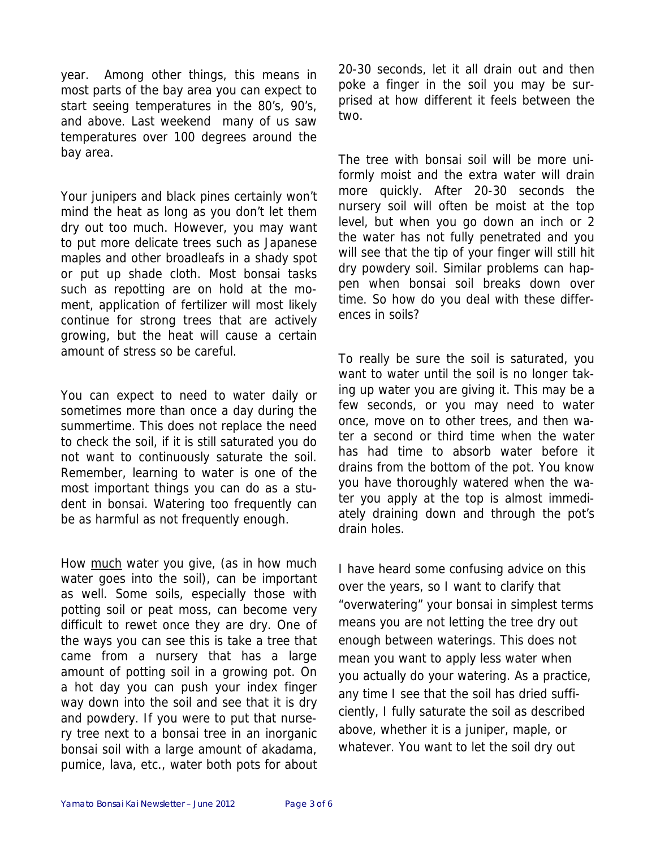year. Among other things, this means in most parts of the bay area you can expect to start seeing temperatures in the 80's, 90's, and above. Last weekend many of us saw temperatures over 100 degrees around the bay area.

Your junipers and black pines certainly won't mind the heat as long as you don't let them dry out too much. However, you may want to put more delicate trees such as Japanese maples and other broadleafs in a shady spot or put up shade cloth. Most bonsai tasks such as repotting are on hold at the moment, application of fertilizer will most likely continue for strong trees that are actively growing, but the heat will cause a certain amount of stress so be careful.

You can expect to need to water daily or sometimes more than once a day during the summertime. This does not replace the need to check the soil, if it is still saturated you do not want to continuously saturate the soil. Remember, learning to water is one of the most important things you can do as a student in bonsai. Watering too frequently can be as harmful as not frequently enough.

How much water you give, (as in how much water goes into the soil), can be important as well. Some soils, especially those with potting soil or peat moss, can become very difficult to rewet once they are dry. One of the ways you can see this is take a tree that came from a nursery that has a large amount of potting soil in a growing pot. On a hot day you can push your index finger way down into the soil and see that it is dry and powdery. If you were to put that nursery tree next to a bonsai tree in an inorganic bonsai soil with a large amount of akadama, pumice, lava, etc., water both pots for about

20-30 seconds, let it all drain out and then poke a finger in the soil you may be surprised at how different it feels between the two.

The tree with bonsai soil will be more uniformly moist and the extra water will drain more quickly. After 20-30 seconds the nursery soil will often be moist at the top level, but when you go down an inch or 2 the water has not fully penetrated and you will see that the tip of your finger will still hit dry powdery soil. Similar problems can happen when bonsai soil breaks down over time. So how do you deal with these differences in soils?

To really be sure the soil is saturated, you want to water until the soil is no longer taking up water you are giving it. This may be a few seconds, or you may need to water once, move on to other trees, and then water a second or third time when the water has had time to absorb water before it drains from the bottom of the pot. You know you have thoroughly watered when the water you apply at the top is almost immediately draining down and through the pot's drain holes.

I have heard some confusing advice on this over the years, so I want to clarify that "overwatering" your bonsai in simplest terms means you are not letting the tree dry out enough between waterings. This does not mean you want to apply less water when you actually do your watering. As a practice, any time I see that the soil has dried sufficiently, I fully saturate the soil as described above, whether it is a juniper, maple, or whatever. You want to let the soil dry out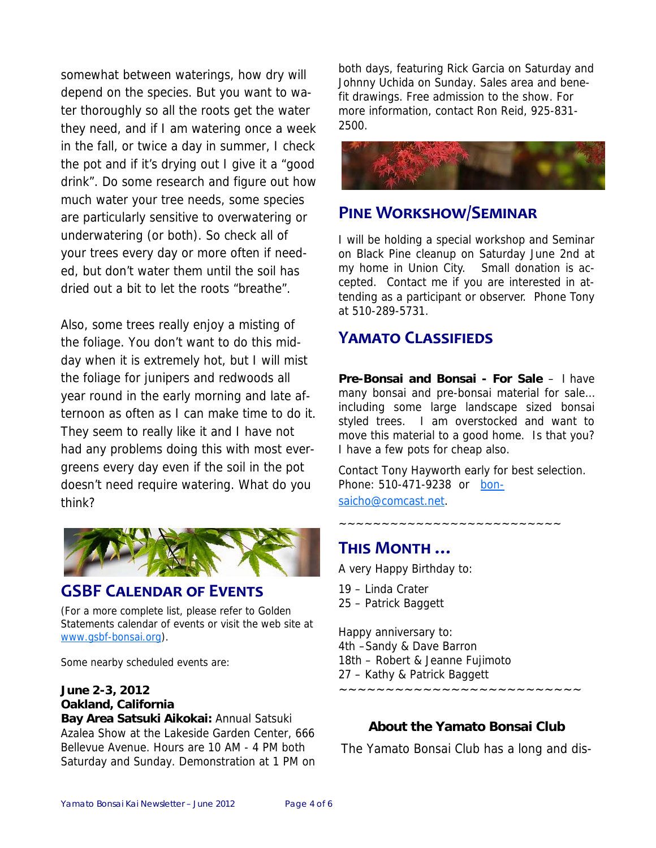somewhat between waterings, how dry will depend on the species. But you want to water thoroughly so all the roots get the water they need, and if I am watering once a week in the fall, or twice a day in summer, I check the pot and if it's drying out I give it a "good drink". Do some research and figure out how much water your tree needs, some species are particularly sensitive to overwatering or underwatering (or both). So check all of your trees every day or more often if needed, but don't water them until the soil has dried out a bit to let the roots "breathe".

Also, some trees really enjoy a misting of the foliage. You don't want to do this midday when it is extremely hot, but I will mist the foliage for junipers and redwoods all year round in the early morning and late afternoon as often as I can make time to do it. They seem to really like it and I have not had any problems doing this with most evergreens every day even if the soil in the pot doesn't need require watering. What do you think?



## **GSBF CALENDAR OF EVENTS**

(For a more complete list, please refer to Golden Statements calendar of events or visit the web site at www.gsbf-bonsai.org).

Some nearby scheduled events are:

## **June 2-3, 2012 Oakland, California**

**Bay Area Satsuki Aikokai:** Annual Satsuki Azalea Show at the Lakeside Garden Center, 666 Bellevue Avenue. Hours are 10 AM - 4 PM both Saturday and Sunday. Demonstration at 1 PM on both days, featuring Rick Garcia on Saturday and Johnny Uchida on Sunday. Sales area and benefit drawings. Free admission to the show. For more information, contact Ron Reid, 925-831- 2500.



## **PINE WORKSHOW/SEMINAR**

I will be holding a special workshop and Seminar on Black Pine cleanup on Saturday June 2nd at my home in Union City. Small donation is accepted. Contact me if you are interested in attending as a participant or observer. Phone Tony at 510-289-5731.

## **YAMATO CLASSIFIEDS**

**Pre-Bonsai and Bonsai - For Sale** – I have many bonsai and pre-bonsai material for sale… including some large landscape sized bonsai styled trees. I am overstocked and want to move this material to a good home. Is that you? I have a few pots for cheap also.

Contact Tony Hayworth early for best selection. Phone: 510-471-9238 or bonsaicho@comcast.net.

~~~~~~~~~~~~~~~~~~~~~~~~~~

## **THIS MONTH …**

A very Happy Birthday to:

19 – Linda Crater 25 – Patrick Baggett

Happy anniversary to: 4th –Sandy & Dave Barron 18th – Robert & Jeanne Fujimoto 27 – Kathy & Patrick Baggett ~~~~~~~~~~~~~~~~~~~~~~~~~~

## **About the Yamato Bonsai Club**

The Yamato Bonsai Club has a long and dis-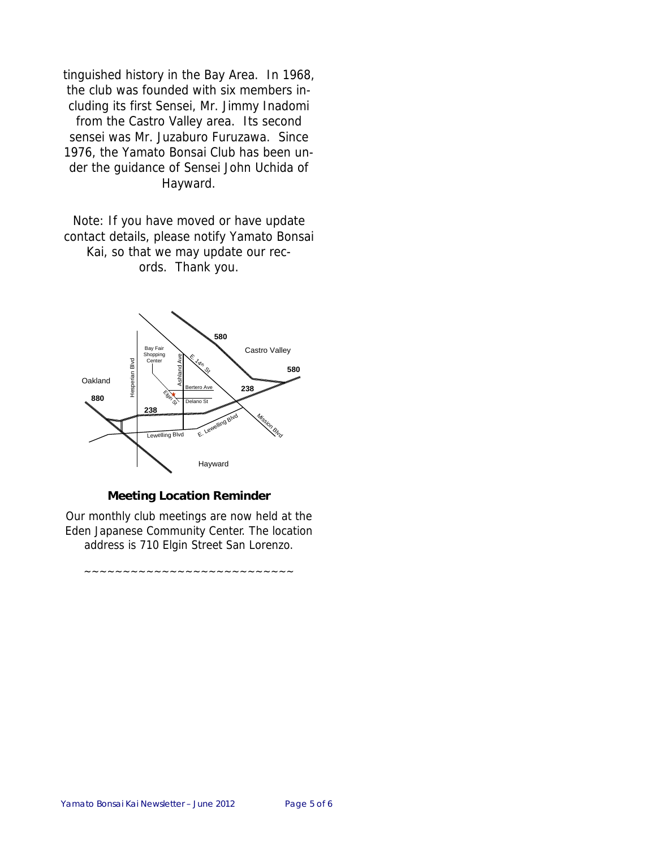tinguished history in the Bay Area. In 1968, the club was founded with six members including its first Sensei, Mr. Jimmy Inadomi from the Castro Valley area. Its second sensei was Mr. Juzaburo Furuzawa. Since 1976, the Yamato Bonsai Club has been under the guidance of Sensei John Uchida of Hayward.

Note: If you have moved or have update contact details, please notify Yamato Bonsai Kai, so that we may update our records. Thank you.



#### **Meeting Location Reminder**

Our monthly club meetings are now held at the Eden Japanese Community Center. The location address is 710 Elgin Street San Lorenzo.

~~~~~~~~~~~~~~~~~~~~~~~~~~~